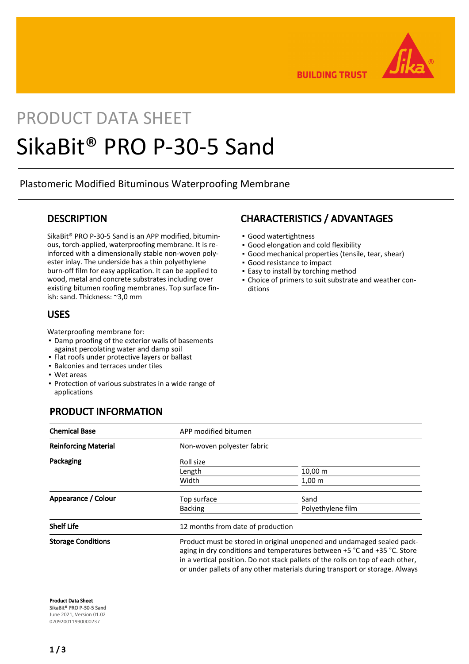

**BUILDING TRUST** 

# PRODUCT DATA SHEET SikaBit® PRO P-30-5 Sand

Plastomeric Modified Bituminous Waterproofing Membrane

### **DESCRIPTION**

SikaBit® PRO P-30-5 Sand is an APP modified, bituminous, torch-applied, waterproofing membrane. It is reinforced with a dimensionally stable non-woven polyester inlay. The underside has a thin polyethylene burn-off film for easy application. It can be applied to wood, metal and concrete substrates including over existing bitumen roofing membranes. Top surface finish: sand. Thickness: ~3,0 mm

## USES

Waterproofing membrane for:

- **Damp proofing of the exterior walls of basements** against percolating water and damp soil
- Flat roofs under protective layers or ballast
- **· Balconies and terraces under tiles**
- Wet areas
- **Protection of various substrates in a wide range of** applications

# PRODUCT INFORMATION

## CHARACTERISTICS / ADVANTAGES

- Good watertightness
- Good elongation and cold flexibility
- Good mechanical properties (tensile, tear, shear)
- Good resistance to impact
- **Easy to install by torching method**
- Choice of primers to suit substrate and weather con-▪ ditions

| <b>Chemical Base</b>        | APP modified bitumen                                                                                                                                                                                                                                                                                                 |                                   |  |
|-----------------------------|----------------------------------------------------------------------------------------------------------------------------------------------------------------------------------------------------------------------------------------------------------------------------------------------------------------------|-----------------------------------|--|
| <b>Reinforcing Material</b> | Non-woven polyester fabric                                                                                                                                                                                                                                                                                           |                                   |  |
| Packaging                   | Roll size                                                                                                                                                                                                                                                                                                            |                                   |  |
|                             | Length                                                                                                                                                                                                                                                                                                               | $10,00 \; \mathrm{m}$             |  |
|                             | Width                                                                                                                                                                                                                                                                                                                | 1,00 <sub>m</sub>                 |  |
| Appearance / Colour         | Top surface                                                                                                                                                                                                                                                                                                          | Sand                              |  |
|                             | <b>Backing</b>                                                                                                                                                                                                                                                                                                       | Polyethylene film                 |  |
| <b>Shelf Life</b>           |                                                                                                                                                                                                                                                                                                                      | 12 months from date of production |  |
| <b>Storage Conditions</b>   | Product must be stored in original unopened and undamaged sealed pack-<br>aging in dry conditions and temperatures between +5 °C and +35 °C. Store<br>in a vertical position. Do not stack pallets of the rolls on top of each other,<br>or under pallets of any other materials during transport or storage. Always |                                   |  |

Product Data Sheet SikaBit® PRO P-30-5 Sand June 2021, Version 01.02 020920011990000237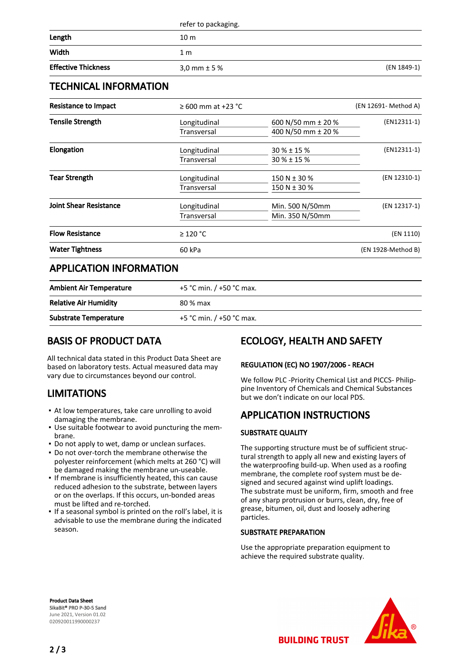| <b>Effective Thickness</b> | 3,0 mm $\pm$ 5 %    | (EN 1849-1) |
|----------------------------|---------------------|-------------|
| Width                      | 1 m                 |             |
| Length                     | 10 <sub>m</sub>     |             |
|                            | refer to packaging. |             |

## TECHNICAL INFORMATION

| Resistance to Impact          | $\geq 600$ mm at +23 °C     |                                          | (EN 12691- Method A) |
|-------------------------------|-----------------------------|------------------------------------------|----------------------|
| <b>Tensile Strength</b>       | Longitudinal<br>Transversal | 600 N/50 mm ± 20 %<br>400 N/50 mm ± 20 % | $(EN12311-1)$        |
|                               |                             |                                          |                      |
| <b>Elongation</b>             | Longitudinal                | $30 \% \pm 15 \%$                        | $(EN12311-1)$        |
|                               | Transversal                 | $30\% \pm 15\%$                          |                      |
| Tear Strength                 | Longitudinal                | 150 N $\pm$ 30 %                         | (EN 12310-1)         |
|                               | Transversal                 | 150 N ± 30 %                             |                      |
| <b>Joint Shear Resistance</b> | Longitudinal                | Min. 500 N/50mm                          | (EN 12317-1)         |
|                               | Transversal                 | Min. 350 N/50mm                          |                      |
| <b>Flow Resistance</b>        | $\geq$ 120 °C               |                                          | (EN 1110)            |
| <b>Water Tightness</b>        | 60 kPa                      |                                          | (EN 1928-Method B)   |
|                               |                             |                                          |                      |

## APPLICATION INFORMATION

| <b>Ambient Air Temperature</b> | +5 °C min. $/$ +50 °C max. |
|--------------------------------|----------------------------|
| <b>Relative Air Humidity</b>   | 80 % max                   |
| <b>Substrate Temperature</b>   | +5 °C min. $/$ +50 °C max. |

# BASIS OF PRODUCT DATA

All technical data stated in this Product Data Sheet are based on laboratory tests. Actual measured data may vary due to circumstances beyond our control.

# LIMITATIONS

- At low temperatures, take care unrolling to avoid damaging the membrane.
- Use suitable footwear to avoid puncturing the mem-▪ brane.
- Do not apply to wet, damp or unclean surfaces.
- Do not over-torch the membrane otherwise the polyester reinforcement (which melts at 260 °C) will be damaged making the membrane un-useable.
- **.** If membrane is insufficiently heated, this can cause reduced adhesion to the substrate, between layers or on the overlaps. If this occurs, un-bonded areas must be lifted and re-torched.
- If a seasonal symbol is printed on the roll's label, it is advisable to use the membrane during the indicated season.

# ECOLOGY, HEALTH AND SAFETY

#### REGULATION (EC) NO 1907/2006 - REACH

We follow PLC -Priority Chemical List and PICCS- Philippine Inventory of Chemicals and Chemical Substances but we don't indicate on our local PDS.

# APPLICATION INSTRUCTIONS

#### SUBSTRATE QUALITY

The supporting structure must be of sufficient structural strength to apply all new and existing layers of the waterproofing build-up. When used as a roofing membrane, the complete roof system must be designed and secured against wind uplift loadings. The substrate must be uniform, firm, smooth and free of any sharp protrusion or burrs, clean, dry, free of grease, bitumen, oil, dust and loosely adhering particles.

#### SUBSTRATE PREPARATION

Use the appropriate preparation equipment to achieve the required substrate quality.

Product Data Sheet SikaBit® PRO P-30-5 Sand June 2021, Version 01.02 020920011990000237



**BUILDING TRUST**